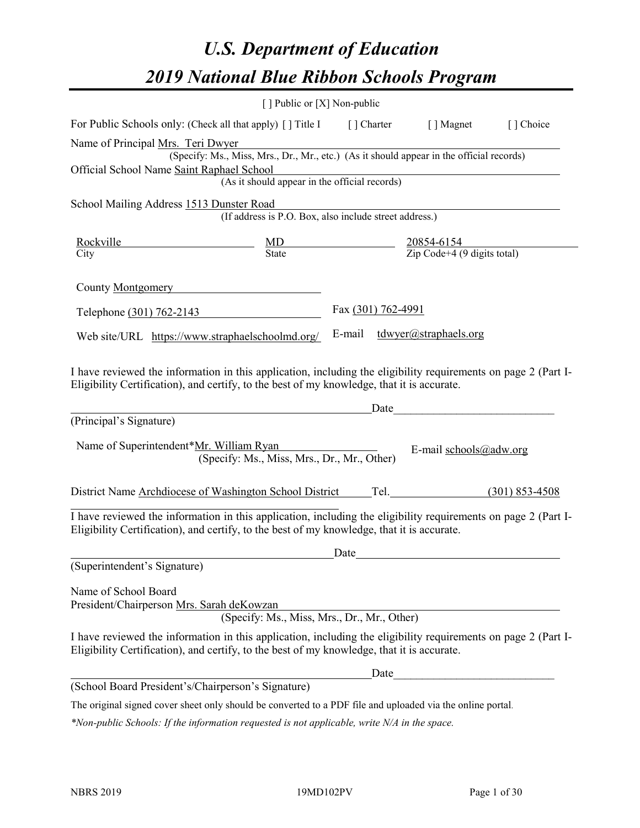# *U.S. Department of Education 2019 National Blue Ribbon Schools Program*

|                                                                                                                                                                                                                                         | [] Public or [X] Non-public                                                                                           |                    |                              |           |
|-----------------------------------------------------------------------------------------------------------------------------------------------------------------------------------------------------------------------------------------|-----------------------------------------------------------------------------------------------------------------------|--------------------|------------------------------|-----------|
| For Public Schools only: (Check all that apply) [] Title I [] Charter [] Magnet                                                                                                                                                         |                                                                                                                       |                    |                              | [] Choice |
| Name of Principal Mrs. Teri Dwyer                                                                                                                                                                                                       |                                                                                                                       |                    |                              |           |
|                                                                                                                                                                                                                                         | rs. Teri Dwyer<br>(Specify: Ms., Miss, Mrs., Dr., Mr., etc.) (As it should appear in the official records)            |                    |                              |           |
| Official School Name Saint Raphael School                                                                                                                                                                                               | mael School<br>(As it should appear in the official records)                                                          |                    |                              |           |
|                                                                                                                                                                                                                                         |                                                                                                                       |                    |                              |           |
| School Mailing Address 1513 Dunster Road                                                                                                                                                                                                |                                                                                                                       |                    |                              |           |
|                                                                                                                                                                                                                                         | unster Road<br>(If address is P.O. Box, also include street address.)                                                 |                    |                              |           |
| Rockville                                                                                                                                                                                                                               | $\frac{20854-6154}{\text{Zip Code}+4 (9 digits total)}$                                                               |                    |                              |           |
| City                                                                                                                                                                                                                                    | $\frac{\text{MD}}{\text{State}}$                                                                                      |                    |                              |           |
|                                                                                                                                                                                                                                         |                                                                                                                       |                    |                              |           |
| County Montgomery                                                                                                                                                                                                                       |                                                                                                                       |                    |                              |           |
| Telephone (301) 762-2143                                                                                                                                                                                                                |                                                                                                                       | Fax (301) 762-4991 |                              |           |
|                                                                                                                                                                                                                                         |                                                                                                                       |                    | E-mail tdwyer@straphaels.org |           |
| Web site/URL https://www.straphaelschoolmd.org/                                                                                                                                                                                         |                                                                                                                       |                    |                              |           |
| I have reviewed the information in this application, including the eligibility requirements on page 2 (Part I-<br>Eligibility Certification), and certify, to the best of my knowledge, that it is accurate.<br>(Principal's Signature) | <u> 1989 - Johann Barn, mars ar breist fan de Amerikaanske kommunent fan de Amerikaanske kommunent fan de Amerika</u> | Date               |                              |           |
|                                                                                                                                                                                                                                         |                                                                                                                       |                    |                              |           |
| Name of Superintendent*Mr. William Ryan                                                                                                                                                                                                 | (Specify: Ms., Miss, Mrs., Dr., Mr., Other)                                                                           |                    | E-mail schools@adw.org       |           |
| District Name Archdiocese of Washington School District Tel. (301) 853-4508                                                                                                                                                             |                                                                                                                       |                    |                              |           |
| I have reviewed the information in this application, including the eligibility requirements on page 2 (Part I-<br>Eligibility Certification), and certify, to the best of my knowledge, that it is accurate.                            |                                                                                                                       | Date               |                              |           |
| (Superintendent's Signature)                                                                                                                                                                                                            |                                                                                                                       |                    |                              |           |
|                                                                                                                                                                                                                                         |                                                                                                                       |                    |                              |           |
| Name of School Board                                                                                                                                                                                                                    |                                                                                                                       |                    |                              |           |
| President/Chairperson Mrs. Sarah deKowzan                                                                                                                                                                                               |                                                                                                                       |                    |                              |           |
|                                                                                                                                                                                                                                         | (Specify: Ms., Miss, Mrs., Dr., Mr., Other)                                                                           |                    |                              |           |
| I have reviewed the information in this application, including the eligibility requirements on page 2 (Part I-<br>Eligibility Certification), and certify, to the best of my knowledge, that it is accurate.                            |                                                                                                                       |                    |                              |           |
|                                                                                                                                                                                                                                         |                                                                                                                       | Date               |                              |           |
| (School Board President's/Chairperson's Signature)                                                                                                                                                                                      |                                                                                                                       |                    |                              |           |
|                                                                                                                                                                                                                                         |                                                                                                                       |                    |                              |           |

The original signed cover sheet only should be converted to a PDF file and uploaded via the online portal.

*\*Non-public Schools: If the information requested is not applicable, write N/A in the space.*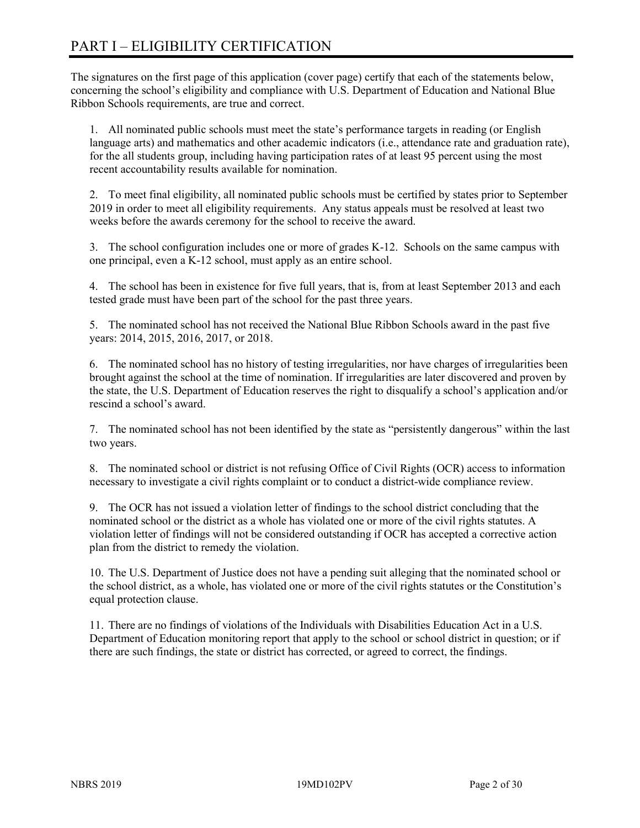# PART I – ELIGIBILITY CERTIFICATION

The signatures on the first page of this application (cover page) certify that each of the statements below, concerning the school's eligibility and compliance with U.S. Department of Education and National Blue Ribbon Schools requirements, are true and correct.

1. All nominated public schools must meet the state's performance targets in reading (or English language arts) and mathematics and other academic indicators (i.e., attendance rate and graduation rate), for the all students group, including having participation rates of at least 95 percent using the most recent accountability results available for nomination.

2. To meet final eligibility, all nominated public schools must be certified by states prior to September 2019 in order to meet all eligibility requirements. Any status appeals must be resolved at least two weeks before the awards ceremony for the school to receive the award.

3. The school configuration includes one or more of grades K-12. Schools on the same campus with one principal, even a K-12 school, must apply as an entire school.

4. The school has been in existence for five full years, that is, from at least September 2013 and each tested grade must have been part of the school for the past three years.

5. The nominated school has not received the National Blue Ribbon Schools award in the past five years: 2014, 2015, 2016, 2017, or 2018.

6. The nominated school has no history of testing irregularities, nor have charges of irregularities been brought against the school at the time of nomination. If irregularities are later discovered and proven by the state, the U.S. Department of Education reserves the right to disqualify a school's application and/or rescind a school's award.

7. The nominated school has not been identified by the state as "persistently dangerous" within the last two years.

8. The nominated school or district is not refusing Office of Civil Rights (OCR) access to information necessary to investigate a civil rights complaint or to conduct a district-wide compliance review.

9. The OCR has not issued a violation letter of findings to the school district concluding that the nominated school or the district as a whole has violated one or more of the civil rights statutes. A violation letter of findings will not be considered outstanding if OCR has accepted a corrective action plan from the district to remedy the violation.

10. The U.S. Department of Justice does not have a pending suit alleging that the nominated school or the school district, as a whole, has violated one or more of the civil rights statutes or the Constitution's equal protection clause.

11. There are no findings of violations of the Individuals with Disabilities Education Act in a U.S. Department of Education monitoring report that apply to the school or school district in question; or if there are such findings, the state or district has corrected, or agreed to correct, the findings.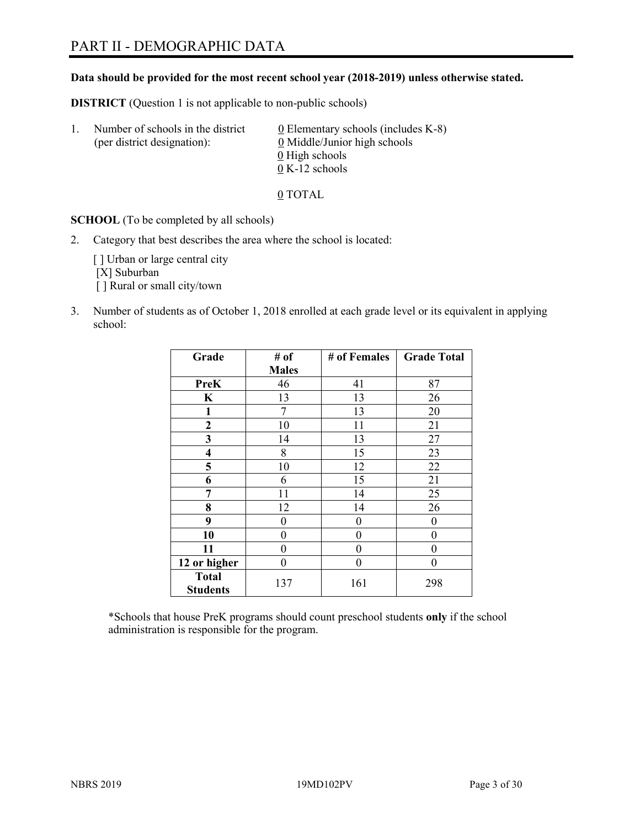# PART II - DEMOGRAPHIC DATA

#### **Data should be provided for the most recent school year (2018-2019) unless otherwise stated.**

**DISTRICT** (Question 1 is not applicable to non-public schools)

| -1. | Number of schools in the district<br>(per district designation): | $\underline{0}$ Elementary schools (includes K-8)<br>0 Middle/Junior high schools |
|-----|------------------------------------------------------------------|-----------------------------------------------------------------------------------|
|     |                                                                  | 0 High schools                                                                    |
|     |                                                                  | $0 K-12$ schools                                                                  |

0 TOTAL

**SCHOOL** (To be completed by all schools)

2. Category that best describes the area where the school is located:

[] Urban or large central city [X] Suburban [] Rural or small city/town

3. Number of students as of October 1, 2018 enrolled at each grade level or its equivalent in applying school:

| Grade                           | # of         | # of Females | <b>Grade Total</b> |
|---------------------------------|--------------|--------------|--------------------|
|                                 | <b>Males</b> |              |                    |
| <b>PreK</b>                     | 46           | 41           | 87                 |
| K                               | 13           | 13           | 26                 |
| $\mathbf{1}$                    | 7            | 13           | 20                 |
| $\mathbf{2}$                    | 10           | 11           | 21                 |
| 3                               | 14           | 13           | 27                 |
| $\overline{\mathbf{4}}$         | 8            | 15           | 23                 |
| 5                               | 10           | 12           | 22                 |
| 6                               | 6            | 15           | 21                 |
| 7                               | 11           | 14           | 25                 |
| 8                               | 12           | 14           | 26                 |
| 9                               | 0            | 0            | 0                  |
| 10                              | 0            | 0            | 0                  |
| 11                              | 0            | 0            | 0                  |
| 12 or higher                    | 0            | 0            | 0                  |
| <b>Total</b><br><b>Students</b> | 137          | 161          | 298                |

\*Schools that house PreK programs should count preschool students **only** if the school administration is responsible for the program.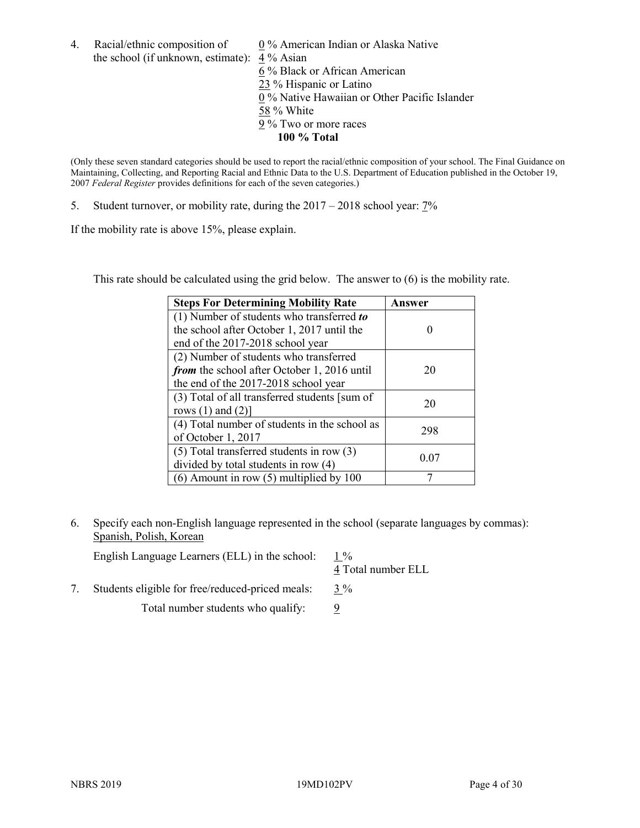- 4. Racial/ethnic composition of  $0\%$  American Indian or Alaska Native the school (if unknown, estimate): 4 % Asian 6 % Black or African American 23 % Hispanic or Latino 0 % Native Hawaiian or Other Pacific Islander
	- 58 % White
	- 9 % Two or more races
		- **100 % Total**

(Only these seven standard categories should be used to report the racial/ethnic composition of your school. The Final Guidance on Maintaining, Collecting, and Reporting Racial and Ethnic Data to the U.S. Department of Education published in the October 19, 2007 *Federal Register* provides definitions for each of the seven categories.)

5. Student turnover, or mobility rate, during the 2017 – 2018 school year: 7%

If the mobility rate is above 15%, please explain.

This rate should be calculated using the grid below. The answer to (6) is the mobility rate.

| <b>Steps For Determining Mobility Rate</b>    | Answer |
|-----------------------------------------------|--------|
| $(1)$ Number of students who transferred to   |        |
| the school after October 1, 2017 until the    |        |
| end of the 2017-2018 school year              |        |
| (2) Number of students who transferred        |        |
| from the school after October 1, 2016 until   | 20     |
| the end of the 2017-2018 school year          |        |
| (3) Total of all transferred students [sum of | 20     |
| rows $(1)$ and $(2)$ ]                        |        |
| (4) Total number of students in the school as | 298    |
| of October 1, 2017                            |        |
| $(5)$ Total transferred students in row $(3)$ | 0.07   |
| divided by total students in row (4)          |        |
| $(6)$ Amount in row $(5)$ multiplied by 100   |        |

6. Specify each non-English language represented in the school (separate languages by commas): Spanish, Polish, Korean

| English Language Learners (ELL) in the school:   | 4 Total number ELL |
|--------------------------------------------------|--------------------|
| Students eligible for free/reduced-priced meals: | $3\%$              |

Total number students who qualify:  $\frac{9}{9}$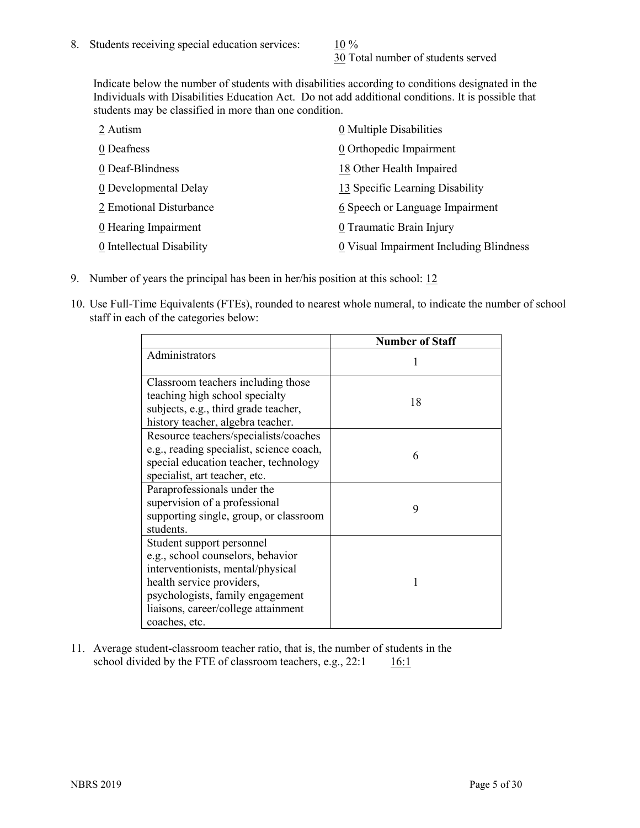30 Total number of students served

Indicate below the number of students with disabilities according to conditions designated in the Individuals with Disabilities Education Act. Do not add additional conditions. It is possible that students may be classified in more than one condition.

| 2 Autism                           | 0 Multiple Disabilities                 |
|------------------------------------|-----------------------------------------|
| 0 Deafness                         | 0 Orthopedic Impairment                 |
| 0 Deaf-Blindness                   | 18 Other Health Impaired                |
| 0 Developmental Delay              | 13 Specific Learning Disability         |
| 2 Emotional Disturbance            | 6 Speech or Language Impairment         |
| $\underline{0}$ Hearing Impairment | 0 Traumatic Brain Injury                |
| 0 Intellectual Disability          | 0 Visual Impairment Including Blindness |

- 9. Number of years the principal has been in her/his position at this school: 12
- 10. Use Full-Time Equivalents (FTEs), rounded to nearest whole numeral, to indicate the number of school staff in each of the categories below:

|                                                                                                                                                                                                                              | <b>Number of Staff</b> |
|------------------------------------------------------------------------------------------------------------------------------------------------------------------------------------------------------------------------------|------------------------|
| Administrators                                                                                                                                                                                                               |                        |
| Classroom teachers including those<br>teaching high school specialty<br>subjects, e.g., third grade teacher,<br>history teacher, algebra teacher.                                                                            | 18                     |
| Resource teachers/specialists/coaches<br>e.g., reading specialist, science coach,<br>special education teacher, technology<br>specialist, art teacher, etc.                                                                  | 6                      |
| Paraprofessionals under the<br>supervision of a professional<br>supporting single, group, or classroom<br>students.                                                                                                          | 9                      |
| Student support personnel<br>e.g., school counselors, behavior<br>interventionists, mental/physical<br>health service providers,<br>psychologists, family engagement<br>liaisons, career/college attainment<br>coaches, etc. |                        |

11. Average student-classroom teacher ratio, that is, the number of students in the school divided by the FTE of classroom teachers, e.g.,  $22:1$  16:1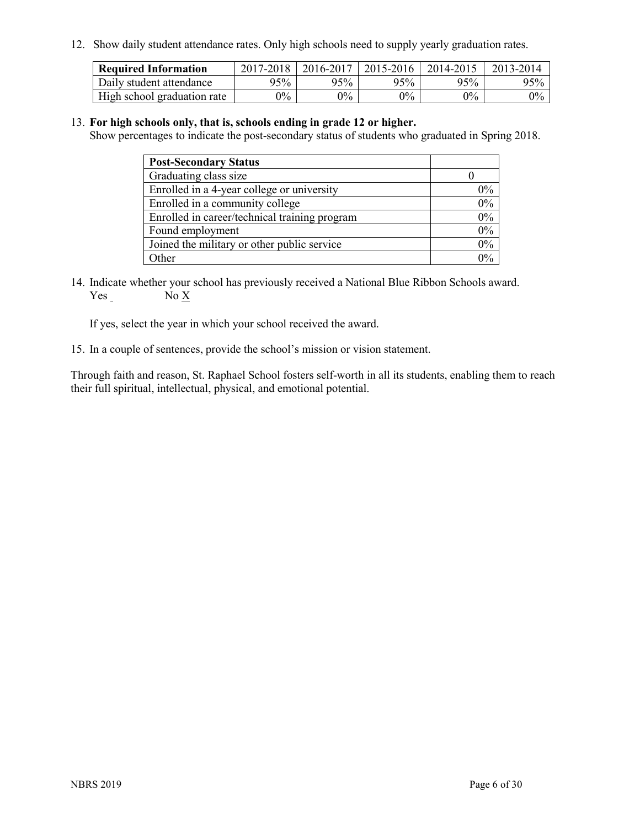12. Show daily student attendance rates. Only high schools need to supply yearly graduation rates.

| <b>Required Information</b> | 2017-2018 | 2016-2017 | 2015-2016 | 2014-2015 | 2013-2014 |
|-----------------------------|-----------|-----------|-----------|-----------|-----------|
| Daily student attendance    | 95%       | 95%       | 95%       | 95%       | 95%       |
| High school graduation rate | $0\%$     | $0\%$     | $0\%$     | 9%        | $0\%$     |

#### 13. **For high schools only, that is, schools ending in grade 12 or higher.**

Show percentages to indicate the post-secondary status of students who graduated in Spring 2018.

| <b>Post-Secondary Status</b>                  |       |
|-----------------------------------------------|-------|
| Graduating class size                         |       |
| Enrolled in a 4-year college or university    | $0\%$ |
| Enrolled in a community college               | 0%    |
| Enrolled in career/technical training program | 0%    |
| Found employment                              | 0%    |
| Joined the military or other public service   | 0%    |
| Other                                         | $0\%$ |

14. Indicate whether your school has previously received a National Blue Ribbon Schools award. Yes No X

If yes, select the year in which your school received the award.

15. In a couple of sentences, provide the school's mission or vision statement.

Through faith and reason, St. Raphael School fosters self-worth in all its students, enabling them to reach their full spiritual, intellectual, physical, and emotional potential.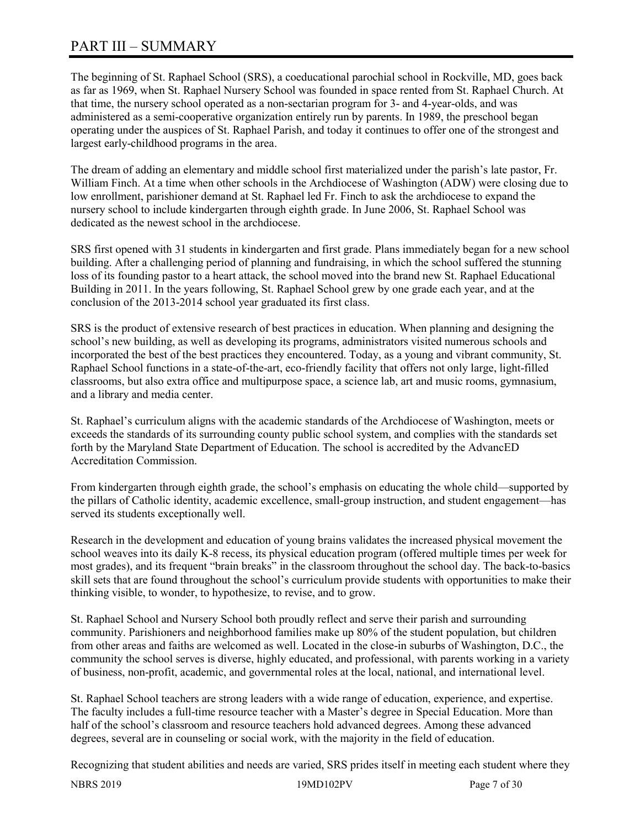# PART III – SUMMARY

The beginning of St. Raphael School (SRS), a coeducational parochial school in Rockville, MD, goes back as far as 1969, when St. Raphael Nursery School was founded in space rented from St. Raphael Church. At that time, the nursery school operated as a non-sectarian program for 3- and 4-year-olds, and was administered as a semi-cooperative organization entirely run by parents. In 1989, the preschool began operating under the auspices of St. Raphael Parish, and today it continues to offer one of the strongest and largest early-childhood programs in the area.

The dream of adding an elementary and middle school first materialized under the parish's late pastor, Fr. William Finch. At a time when other schools in the Archdiocese of Washington (ADW) were closing due to low enrollment, parishioner demand at St. Raphael led Fr. Finch to ask the archdiocese to expand the nursery school to include kindergarten through eighth grade. In June 2006, St. Raphael School was dedicated as the newest school in the archdiocese.

SRS first opened with 31 students in kindergarten and first grade. Plans immediately began for a new school building. After a challenging period of planning and fundraising, in which the school suffered the stunning loss of its founding pastor to a heart attack, the school moved into the brand new St. Raphael Educational Building in 2011. In the years following, St. Raphael School grew by one grade each year, and at the conclusion of the 2013-2014 school year graduated its first class.

SRS is the product of extensive research of best practices in education. When planning and designing the school's new building, as well as developing its programs, administrators visited numerous schools and incorporated the best of the best practices they encountered. Today, as a young and vibrant community, St. Raphael School functions in a state-of-the-art, eco-friendly facility that offers not only large, light-filled classrooms, but also extra office and multipurpose space, a science lab, art and music rooms, gymnasium, and a library and media center.

St. Raphael's curriculum aligns with the academic standards of the Archdiocese of Washington, meets or exceeds the standards of its surrounding county public school system, and complies with the standards set forth by the Maryland State Department of Education. The school is accredited by the AdvancED Accreditation Commission.

From kindergarten through eighth grade, the school's emphasis on educating the whole child—supported by the pillars of Catholic identity, academic excellence, small-group instruction, and student engagement—has served its students exceptionally well.

Research in the development and education of young brains validates the increased physical movement the school weaves into its daily K-8 recess, its physical education program (offered multiple times per week for most grades), and its frequent "brain breaks" in the classroom throughout the school day. The back-to-basics skill sets that are found throughout the school's curriculum provide students with opportunities to make their thinking visible, to wonder, to hypothesize, to revise, and to grow.

St. Raphael School and Nursery School both proudly reflect and serve their parish and surrounding community. Parishioners and neighborhood families make up 80% of the student population, but children from other areas and faiths are welcomed as well. Located in the close-in suburbs of Washington, D.C., the community the school serves is diverse, highly educated, and professional, with parents working in a variety of business, non-profit, academic, and governmental roles at the local, national, and international level.

St. Raphael School teachers are strong leaders with a wide range of education, experience, and expertise. The faculty includes a full-time resource teacher with a Master's degree in Special Education. More than half of the school's classroom and resource teachers hold advanced degrees. Among these advanced degrees, several are in counseling or social work, with the majority in the field of education.

Recognizing that student abilities and needs are varied, SRS prides itself in meeting each student where they

NBRS 2019 19MD102PV Page 7 of 30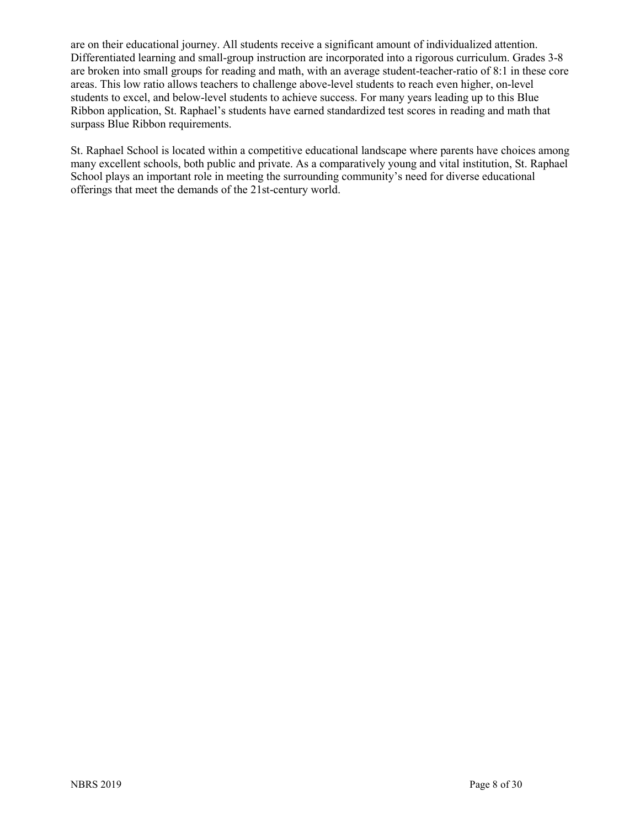are on their educational journey. All students receive a significant amount of individualized attention. Differentiated learning and small-group instruction are incorporated into a rigorous curriculum. Grades 3-8 are broken into small groups for reading and math, with an average student-teacher-ratio of 8:1 in these core areas. This low ratio allows teachers to challenge above-level students to reach even higher, on-level students to excel, and below-level students to achieve success. For many years leading up to this Blue Ribbon application, St. Raphael's students have earned standardized test scores in reading and math that surpass Blue Ribbon requirements.

St. Raphael School is located within a competitive educational landscape where parents have choices among many excellent schools, both public and private. As a comparatively young and vital institution, St. Raphael School plays an important role in meeting the surrounding community's need for diverse educational offerings that meet the demands of the 21st-century world.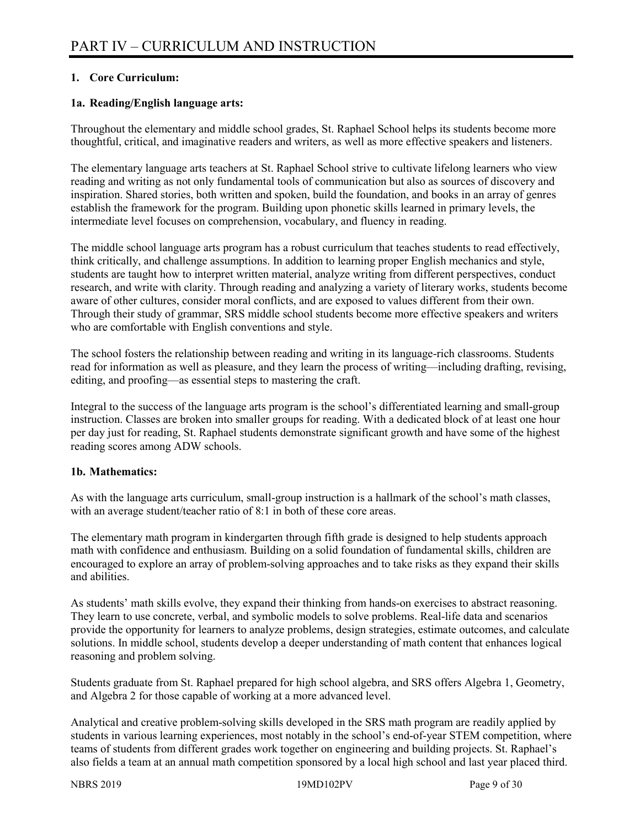#### **1. Core Curriculum:**

#### **1a. Reading/English language arts:**

Throughout the elementary and middle school grades, St. Raphael School helps its students become more thoughtful, critical, and imaginative readers and writers, as well as more effective speakers and listeners.

The elementary language arts teachers at St. Raphael School strive to cultivate lifelong learners who view reading and writing as not only fundamental tools of communication but also as sources of discovery and inspiration. Shared stories, both written and spoken, build the foundation, and books in an array of genres establish the framework for the program. Building upon phonetic skills learned in primary levels, the intermediate level focuses on comprehension, vocabulary, and fluency in reading.

The middle school language arts program has a robust curriculum that teaches students to read effectively, think critically, and challenge assumptions. In addition to learning proper English mechanics and style, students are taught how to interpret written material, analyze writing from different perspectives, conduct research, and write with clarity. Through reading and analyzing a variety of literary works, students become aware of other cultures, consider moral conflicts, and are exposed to values different from their own. Through their study of grammar, SRS middle school students become more effective speakers and writers who are comfortable with English conventions and style.

The school fosters the relationship between reading and writing in its language-rich classrooms. Students read for information as well as pleasure, and they learn the process of writing—including drafting, revising, editing, and proofing—as essential steps to mastering the craft.

Integral to the success of the language arts program is the school's differentiated learning and small-group instruction. Classes are broken into smaller groups for reading. With a dedicated block of at least one hour per day just for reading, St. Raphael students demonstrate significant growth and have some of the highest reading scores among ADW schools.

#### **1b. Mathematics:**

As with the language arts curriculum, small-group instruction is a hallmark of the school's math classes, with an average student/teacher ratio of 8:1 in both of these core areas.

The elementary math program in kindergarten through fifth grade is designed to help students approach math with confidence and enthusiasm. Building on a solid foundation of fundamental skills, children are encouraged to explore an array of problem-solving approaches and to take risks as they expand their skills and abilities.

As students' math skills evolve, they expand their thinking from hands-on exercises to abstract reasoning. They learn to use concrete, verbal, and symbolic models to solve problems. Real-life data and scenarios provide the opportunity for learners to analyze problems, design strategies, estimate outcomes, and calculate solutions. In middle school, students develop a deeper understanding of math content that enhances logical reasoning and problem solving.

Students graduate from St. Raphael prepared for high school algebra, and SRS offers Algebra 1, Geometry, and Algebra 2 for those capable of working at a more advanced level.

Analytical and creative problem-solving skills developed in the SRS math program are readily applied by students in various learning experiences, most notably in the school's end-of-year STEM competition, where teams of students from different grades work together on engineering and building projects. St. Raphael's also fields a team at an annual math competition sponsored by a local high school and last year placed third.

NBRS 2019 19MD102PV Page 9 of 30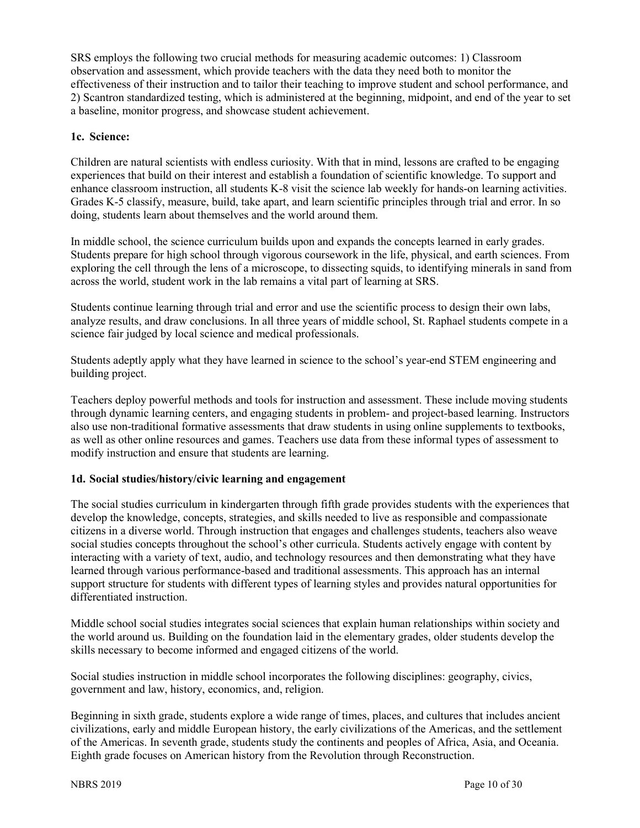SRS employs the following two crucial methods for measuring academic outcomes: 1) Classroom observation and assessment, which provide teachers with the data they need both to monitor the effectiveness of their instruction and to tailor their teaching to improve student and school performance, and 2) Scantron standardized testing, which is administered at the beginning, midpoint, and end of the year to set a baseline, monitor progress, and showcase student achievement.

#### **1c. Science:**

Children are natural scientists with endless curiosity. With that in mind, lessons are crafted to be engaging experiences that build on their interest and establish a foundation of scientific knowledge. To support and enhance classroom instruction, all students K-8 visit the science lab weekly for hands-on learning activities. Grades K-5 classify, measure, build, take apart, and learn scientific principles through trial and error. In so doing, students learn about themselves and the world around them.

In middle school, the science curriculum builds upon and expands the concepts learned in early grades. Students prepare for high school through vigorous coursework in the life, physical, and earth sciences. From exploring the cell through the lens of a microscope, to dissecting squids, to identifying minerals in sand from across the world, student work in the lab remains a vital part of learning at SRS.

Students continue learning through trial and error and use the scientific process to design their own labs, analyze results, and draw conclusions. In all three years of middle school, St. Raphael students compete in a science fair judged by local science and medical professionals.

Students adeptly apply what they have learned in science to the school's year-end STEM engineering and building project.

Teachers deploy powerful methods and tools for instruction and assessment. These include moving students through dynamic learning centers, and engaging students in problem- and project-based learning. Instructors also use non-traditional formative assessments that draw students in using online supplements to textbooks, as well as other online resources and games. Teachers use data from these informal types of assessment to modify instruction and ensure that students are learning.

#### **1d. Social studies/history/civic learning and engagement**

The social studies curriculum in kindergarten through fifth grade provides students with the experiences that develop the knowledge, concepts, strategies, and skills needed to live as responsible and compassionate citizens in a diverse world. Through instruction that engages and challenges students, teachers also weave social studies concepts throughout the school's other curricula. Students actively engage with content by interacting with a variety of text, audio, and technology resources and then demonstrating what they have learned through various performance-based and traditional assessments. This approach has an internal support structure for students with different types of learning styles and provides natural opportunities for differentiated instruction.

Middle school social studies integrates social sciences that explain human relationships within society and the world around us. Building on the foundation laid in the elementary grades, older students develop the skills necessary to become informed and engaged citizens of the world.

Social studies instruction in middle school incorporates the following disciplines: geography, civics, government and law, history, economics, and, religion.

Beginning in sixth grade, students explore a wide range of times, places, and cultures that includes ancient civilizations, early and middle European history, the early civilizations of the Americas, and the settlement of the Americas. In seventh grade, students study the continents and peoples of Africa, Asia, and Oceania. Eighth grade focuses on American history from the Revolution through Reconstruction.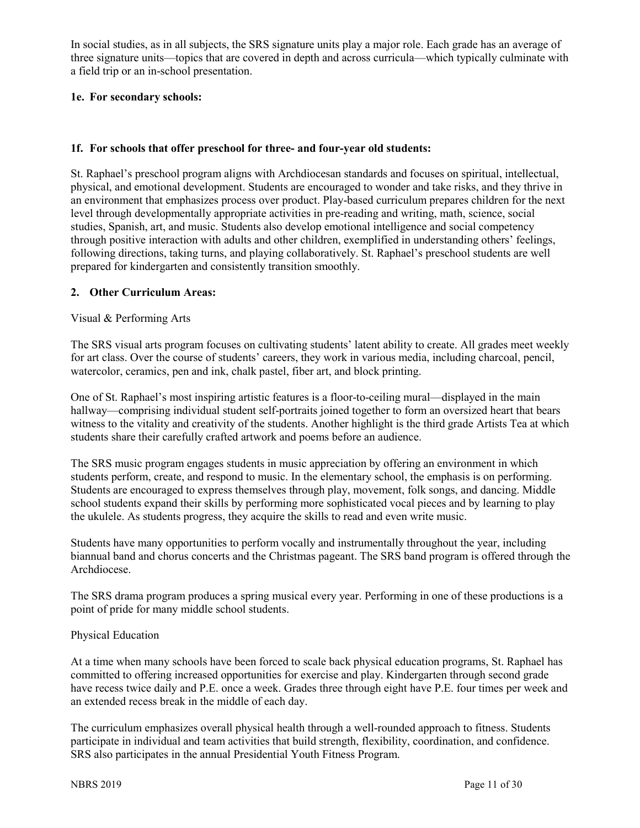In social studies, as in all subjects, the SRS signature units play a major role. Each grade has an average of three signature units—topics that are covered in depth and across curricula—which typically culminate with a field trip or an in-school presentation.

#### **1e. For secondary schools:**

#### **1f. For schools that offer preschool for three- and four-year old students:**

St. Raphael's preschool program aligns with Archdiocesan standards and focuses on spiritual, intellectual, physical, and emotional development. Students are encouraged to wonder and take risks, and they thrive in an environment that emphasizes process over product. Play-based curriculum prepares children for the next level through developmentally appropriate activities in pre-reading and writing, math, science, social studies, Spanish, art, and music. Students also develop emotional intelligence and social competency through positive interaction with adults and other children, exemplified in understanding others' feelings, following directions, taking turns, and playing collaboratively. St. Raphael's preschool students are well prepared for kindergarten and consistently transition smoothly.

#### **2. Other Curriculum Areas:**

#### Visual & Performing Arts

The SRS visual arts program focuses on cultivating students' latent ability to create. All grades meet weekly for art class. Over the course of students' careers, they work in various media, including charcoal, pencil, watercolor, ceramics, pen and ink, chalk pastel, fiber art, and block printing.

One of St. Raphael's most inspiring artistic features is a floor-to-ceiling mural—displayed in the main hallway—comprising individual student self-portraits joined together to form an oversized heart that bears witness to the vitality and creativity of the students. Another highlight is the third grade Artists Tea at which students share their carefully crafted artwork and poems before an audience.

The SRS music program engages students in music appreciation by offering an environment in which students perform, create, and respond to music. In the elementary school, the emphasis is on performing. Students are encouraged to express themselves through play, movement, folk songs, and dancing. Middle school students expand their skills by performing more sophisticated vocal pieces and by learning to play the ukulele. As students progress, they acquire the skills to read and even write music.

Students have many opportunities to perform vocally and instrumentally throughout the year, including biannual band and chorus concerts and the Christmas pageant. The SRS band program is offered through the Archdiocese.

The SRS drama program produces a spring musical every year. Performing in one of these productions is a point of pride for many middle school students.

#### Physical Education

At a time when many schools have been forced to scale back physical education programs, St. Raphael has committed to offering increased opportunities for exercise and play. Kindergarten through second grade have recess twice daily and P.E. once a week. Grades three through eight have P.E. four times per week and an extended recess break in the middle of each day.

The curriculum emphasizes overall physical health through a well-rounded approach to fitness. Students participate in individual and team activities that build strength, flexibility, coordination, and confidence. SRS also participates in the annual Presidential Youth Fitness Program.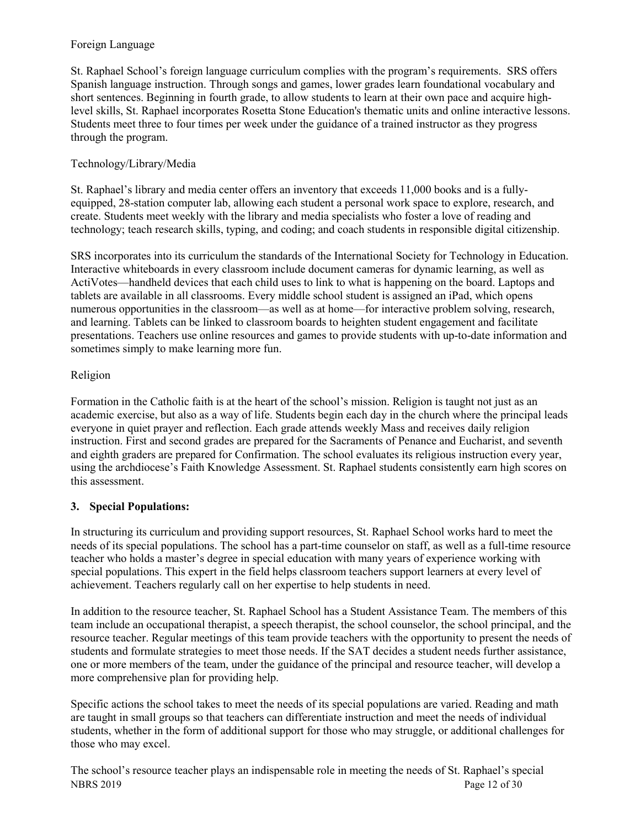#### Foreign Language

St. Raphael School's foreign language curriculum complies with the program's requirements. SRS offers Spanish language instruction. Through songs and games, lower grades learn foundational vocabulary and short sentences. Beginning in fourth grade, to allow students to learn at their own pace and acquire highlevel skills, St. Raphael incorporates Rosetta Stone Education's thematic units and online interactive lessons. Students meet three to four times per week under the guidance of a trained instructor as they progress through the program.

#### Technology/Library/Media

St. Raphael's library and media center offers an inventory that exceeds 11,000 books and is a fullyequipped, 28-station computer lab, allowing each student a personal work space to explore, research, and create. Students meet weekly with the library and media specialists who foster a love of reading and technology; teach research skills, typing, and coding; and coach students in responsible digital citizenship.

SRS incorporates into its curriculum the standards of the International Society for Technology in Education. Interactive whiteboards in every classroom include document cameras for dynamic learning, as well as ActiVotes—handheld devices that each child uses to link to what is happening on the board. Laptops and tablets are available in all classrooms. Every middle school student is assigned an iPad, which opens numerous opportunities in the classroom—as well as at home—for interactive problem solving, research, and learning. Tablets can be linked to classroom boards to heighten student engagement and facilitate presentations. Teachers use online resources and games to provide students with up-to-date information and sometimes simply to make learning more fun.

#### Religion

Formation in the Catholic faith is at the heart of the school's mission. Religion is taught not just as an academic exercise, but also as a way of life. Students begin each day in the church where the principal leads everyone in quiet prayer and reflection. Each grade attends weekly Mass and receives daily religion instruction. First and second grades are prepared for the Sacraments of Penance and Eucharist, and seventh and eighth graders are prepared for Confirmation. The school evaluates its religious instruction every year, using the archdiocese's Faith Knowledge Assessment. St. Raphael students consistently earn high scores on this assessment.

### **3. Special Populations:**

In structuring its curriculum and providing support resources, St. Raphael School works hard to meet the needs of its special populations. The school has a part-time counselor on staff, as well as a full-time resource teacher who holds a master's degree in special education with many years of experience working with special populations. This expert in the field helps classroom teachers support learners at every level of achievement. Teachers regularly call on her expertise to help students in need.

In addition to the resource teacher, St. Raphael School has a Student Assistance Team. The members of this team include an occupational therapist, a speech therapist, the school counselor, the school principal, and the resource teacher. Regular meetings of this team provide teachers with the opportunity to present the needs of students and formulate strategies to meet those needs. If the SAT decides a student needs further assistance, one or more members of the team, under the guidance of the principal and resource teacher, will develop a more comprehensive plan for providing help.

Specific actions the school takes to meet the needs of its special populations are varied. Reading and math are taught in small groups so that teachers can differentiate instruction and meet the needs of individual students, whether in the form of additional support for those who may struggle, or additional challenges for those who may excel.

NBRS 2019 Page 12 of 30 The school's resource teacher plays an indispensable role in meeting the needs of St. Raphael's special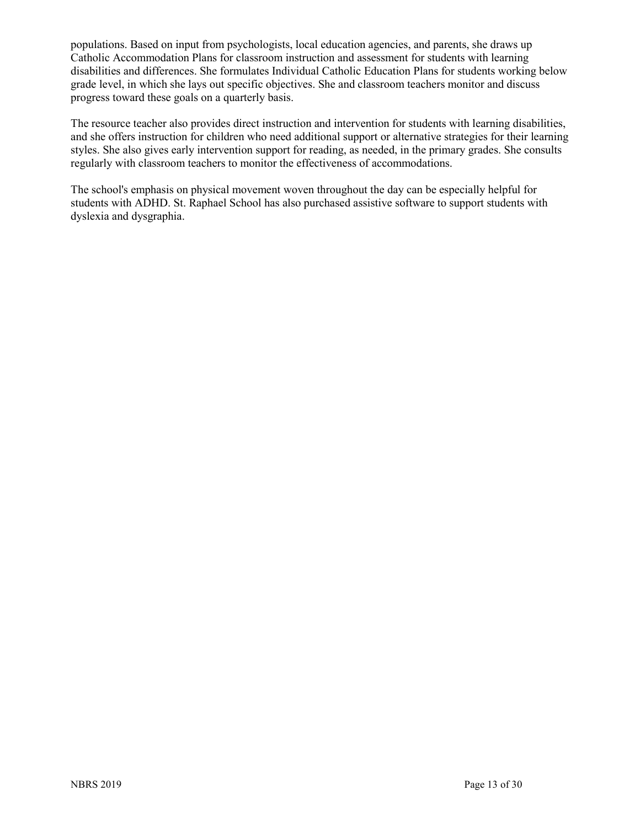populations. Based on input from psychologists, local education agencies, and parents, she draws up Catholic Accommodation Plans for classroom instruction and assessment for students with learning disabilities and differences. She formulates Individual Catholic Education Plans for students working below grade level, in which she lays out specific objectives. She and classroom teachers monitor and discuss progress toward these goals on a quarterly basis.

The resource teacher also provides direct instruction and intervention for students with learning disabilities, and she offers instruction for children who need additional support or alternative strategies for their learning styles. She also gives early intervention support for reading, as needed, in the primary grades. She consults regularly with classroom teachers to monitor the effectiveness of accommodations.

The school's emphasis on physical movement woven throughout the day can be especially helpful for students with ADHD. St. Raphael School has also purchased assistive software to support students with dyslexia and dysgraphia.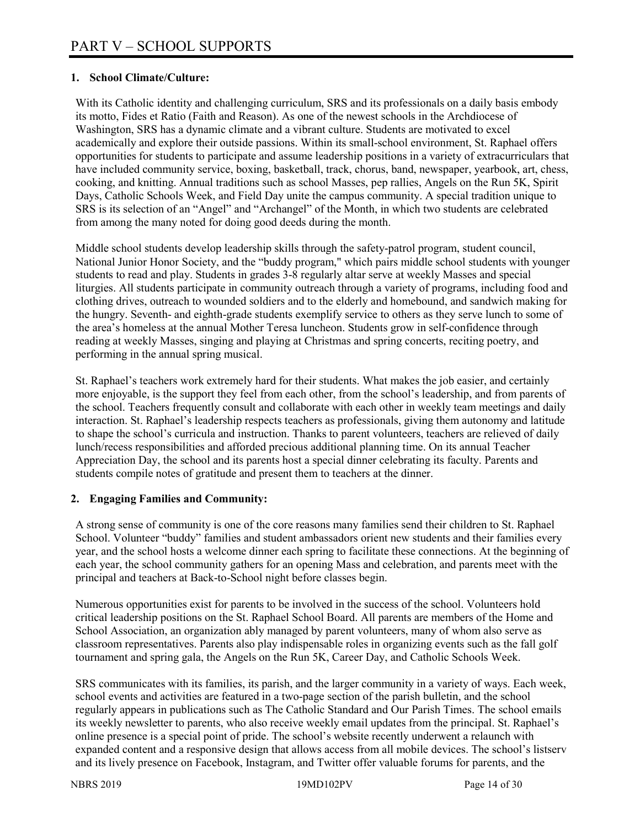#### **1. School Climate/Culture:**

With its Catholic identity and challenging curriculum, SRS and its professionals on a daily basis embody its motto, Fides et Ratio (Faith and Reason). As one of the newest schools in the Archdiocese of Washington, SRS has a dynamic climate and a vibrant culture. Students are motivated to excel academically and explore their outside passions. Within its small-school environment, St. Raphael offers opportunities for students to participate and assume leadership positions in a variety of extracurriculars that have included community service, boxing, basketball, track, chorus, band, newspaper, yearbook, art, chess, cooking, and knitting. Annual traditions such as school Masses, pep rallies, Angels on the Run 5K, Spirit Days, Catholic Schools Week, and Field Day unite the campus community. A special tradition unique to SRS is its selection of an "Angel" and "Archangel" of the Month, in which two students are celebrated from among the many noted for doing good deeds during the month.

Middle school students develop leadership skills through the safety-patrol program, student council, National Junior Honor Society, and the "buddy program," which pairs middle school students with younger students to read and play. Students in grades 3-8 regularly altar serve at weekly Masses and special liturgies. All students participate in community outreach through a variety of programs, including food and clothing drives, outreach to wounded soldiers and to the elderly and homebound, and sandwich making for the hungry. Seventh- and eighth-grade students exemplify service to others as they serve lunch to some of the area's homeless at the annual Mother Teresa luncheon. Students grow in self-confidence through reading at weekly Masses, singing and playing at Christmas and spring concerts, reciting poetry, and performing in the annual spring musical.

St. Raphael's teachers work extremely hard for their students. What makes the job easier, and certainly more enjoyable, is the support they feel from each other, from the school's leadership, and from parents of the school. Teachers frequently consult and collaborate with each other in weekly team meetings and daily interaction. St. Raphael's leadership respects teachers as professionals, giving them autonomy and latitude to shape the school's curricula and instruction. Thanks to parent volunteers, teachers are relieved of daily lunch/recess responsibilities and afforded precious additional planning time. On its annual Teacher Appreciation Day, the school and its parents host a special dinner celebrating its faculty. Parents and students compile notes of gratitude and present them to teachers at the dinner.

#### **2. Engaging Families and Community:**

A strong sense of community is one of the core reasons many families send their children to St. Raphael School. Volunteer "buddy" families and student ambassadors orient new students and their families every year, and the school hosts a welcome dinner each spring to facilitate these connections. At the beginning of each year, the school community gathers for an opening Mass and celebration, and parents meet with the principal and teachers at Back-to-School night before classes begin.

Numerous opportunities exist for parents to be involved in the success of the school. Volunteers hold critical leadership positions on the St. Raphael School Board. All parents are members of the Home and School Association, an organization ably managed by parent volunteers, many of whom also serve as classroom representatives. Parents also play indispensable roles in organizing events such as the fall golf tournament and spring gala, the Angels on the Run 5K, Career Day, and Catholic Schools Week.

SRS communicates with its families, its parish, and the larger community in a variety of ways. Each week, school events and activities are featured in a two-page section of the parish bulletin, and the school regularly appears in publications such as The Catholic Standard and Our Parish Times. The school emails its weekly newsletter to parents, who also receive weekly email updates from the principal. St. Raphael's online presence is a special point of pride. The school's website recently underwent a relaunch with expanded content and a responsive design that allows access from all mobile devices. The school's listserv and its lively presence on Facebook, Instagram, and Twitter offer valuable forums for parents, and the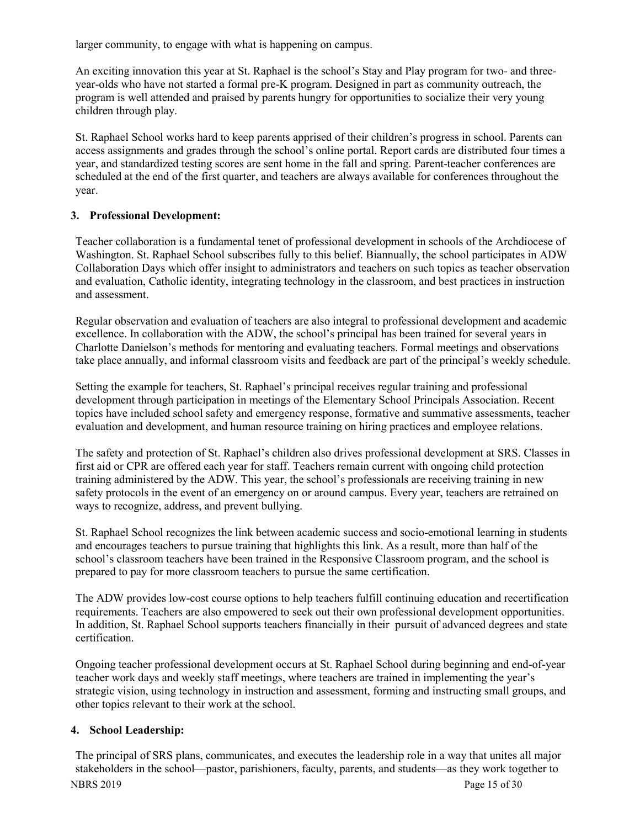larger community, to engage with what is happening on campus.

An exciting innovation this year at St. Raphael is the school's Stay and Play program for two- and threeyear-olds who have not started a formal pre-K program. Designed in part as community outreach, the program is well attended and praised by parents hungry for opportunities to socialize their very young children through play.

St. Raphael School works hard to keep parents apprised of their children's progress in school. Parents can access assignments and grades through the school's online portal. Report cards are distributed four times a year, and standardized testing scores are sent home in the fall and spring. Parent-teacher conferences are scheduled at the end of the first quarter, and teachers are always available for conferences throughout the year.

#### **3. Professional Development:**

Teacher collaboration is a fundamental tenet of professional development in schools of the Archdiocese of Washington. St. Raphael School subscribes fully to this belief. Biannually, the school participates in ADW Collaboration Days which offer insight to administrators and teachers on such topics as teacher observation and evaluation, Catholic identity, integrating technology in the classroom, and best practices in instruction and assessment.

Regular observation and evaluation of teachers are also integral to professional development and academic excellence. In collaboration with the ADW, the school's principal has been trained for several years in Charlotte Danielson's methods for mentoring and evaluating teachers. Formal meetings and observations take place annually, and informal classroom visits and feedback are part of the principal's weekly schedule.

Setting the example for teachers, St. Raphael's principal receives regular training and professional development through participation in meetings of the Elementary School Principals Association. Recent topics have included school safety and emergency response, formative and summative assessments, teacher evaluation and development, and human resource training on hiring practices and employee relations.

The safety and protection of St. Raphael's children also drives professional development at SRS. Classes in first aid or CPR are offered each year for staff. Teachers remain current with ongoing child protection training administered by the ADW. This year, the school's professionals are receiving training in new safety protocols in the event of an emergency on or around campus. Every year, teachers are retrained on ways to recognize, address, and prevent bullying.

St. Raphael School recognizes the link between academic success and socio-emotional learning in students and encourages teachers to pursue training that highlights this link. As a result, more than half of the school's classroom teachers have been trained in the Responsive Classroom program, and the school is prepared to pay for more classroom teachers to pursue the same certification.

The ADW provides low-cost course options to help teachers fulfill continuing education and recertification requirements. Teachers are also empowered to seek out their own professional development opportunities. In addition, St. Raphael School supports teachers financially in their pursuit of advanced degrees and state certification.

Ongoing teacher professional development occurs at St. Raphael School during beginning and end-of-year teacher work days and weekly staff meetings, where teachers are trained in implementing the year's strategic vision, using technology in instruction and assessment, forming and instructing small groups, and other topics relevant to their work at the school.

#### **4. School Leadership:**

NBRS 2019 Page 15 of 30 The principal of SRS plans, communicates, and executes the leadership role in a way that unites all major stakeholders in the school—pastor, parishioners, faculty, parents, and students—as they work together to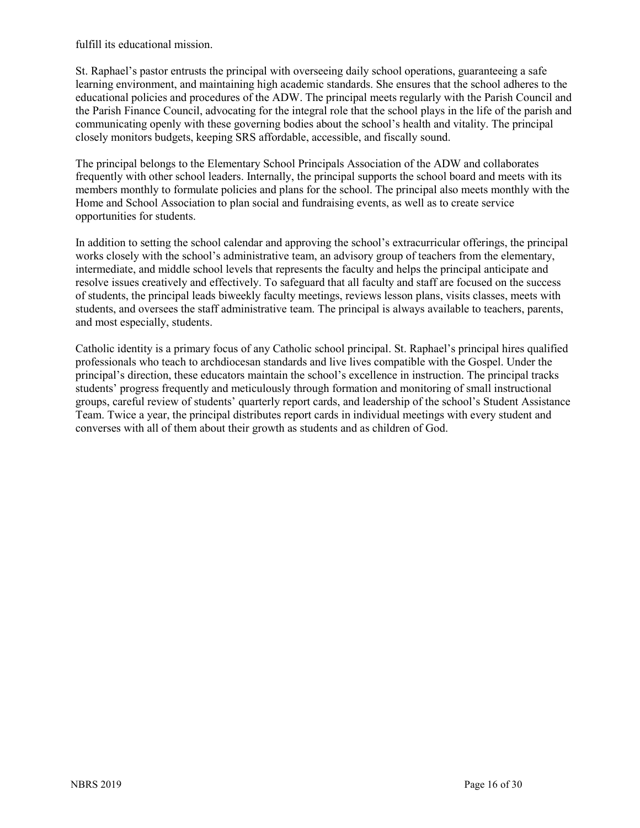fulfill its educational mission.

St. Raphael's pastor entrusts the principal with overseeing daily school operations, guaranteeing a safe learning environment, and maintaining high academic standards. She ensures that the school adheres to the educational policies and procedures of the ADW. The principal meets regularly with the Parish Council and the Parish Finance Council, advocating for the integral role that the school plays in the life of the parish and communicating openly with these governing bodies about the school's health and vitality. The principal closely monitors budgets, keeping SRS affordable, accessible, and fiscally sound.

The principal belongs to the Elementary School Principals Association of the ADW and collaborates frequently with other school leaders. Internally, the principal supports the school board and meets with its members monthly to formulate policies and plans for the school. The principal also meets monthly with the Home and School Association to plan social and fundraising events, as well as to create service opportunities for students.

In addition to setting the school calendar and approving the school's extracurricular offerings, the principal works closely with the school's administrative team, an advisory group of teachers from the elementary, intermediate, and middle school levels that represents the faculty and helps the principal anticipate and resolve issues creatively and effectively. To safeguard that all faculty and staff are focused on the success of students, the principal leads biweekly faculty meetings, reviews lesson plans, visits classes, meets with students, and oversees the staff administrative team. The principal is always available to teachers, parents, and most especially, students.

Catholic identity is a primary focus of any Catholic school principal. St. Raphael's principal hires qualified professionals who teach to archdiocesan standards and live lives compatible with the Gospel. Under the principal's direction, these educators maintain the school's excellence in instruction. The principal tracks students' progress frequently and meticulously through formation and monitoring of small instructional groups, careful review of students' quarterly report cards, and leadership of the school's Student Assistance Team. Twice a year, the principal distributes report cards in individual meetings with every student and converses with all of them about their growth as students and as children of God.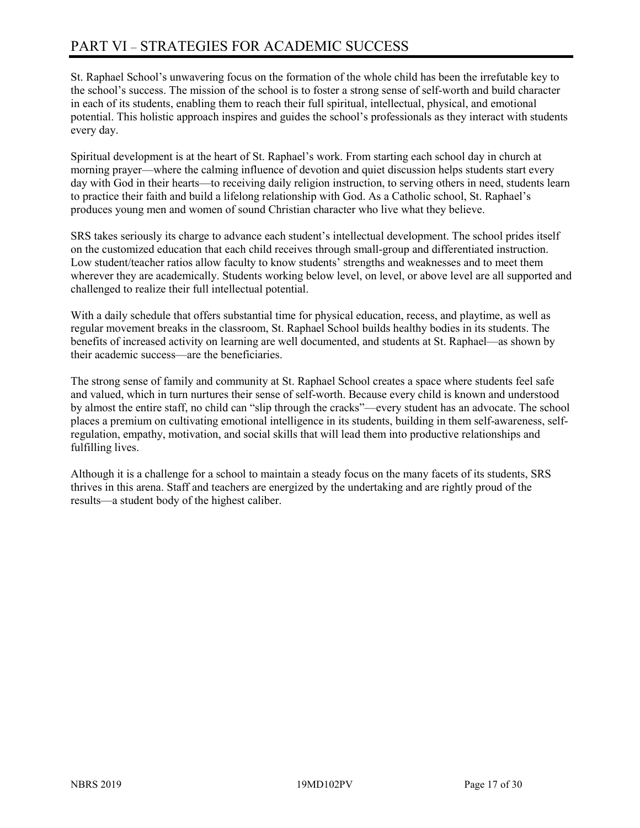# PART VI – STRATEGIES FOR ACADEMIC SUCCESS

St. Raphael School's unwavering focus on the formation of the whole child has been the irrefutable key to the school's success. The mission of the school is to foster a strong sense of self-worth and build character in each of its students, enabling them to reach their full spiritual, intellectual, physical, and emotional potential. This holistic approach inspires and guides the school's professionals as they interact with students every day.

Spiritual development is at the heart of St. Raphael's work. From starting each school day in church at morning prayer—where the calming influence of devotion and quiet discussion helps students start every day with God in their hearts—to receiving daily religion instruction, to serving others in need, students learn to practice their faith and build a lifelong relationship with God. As a Catholic school, St. Raphael's produces young men and women of sound Christian character who live what they believe.

SRS takes seriously its charge to advance each student's intellectual development. The school prides itself on the customized education that each child receives through small-group and differentiated instruction. Low student/teacher ratios allow faculty to know students' strengths and weaknesses and to meet them wherever they are academically. Students working below level, on level, or above level are all supported and challenged to realize their full intellectual potential.

With a daily schedule that offers substantial time for physical education, recess, and playtime, as well as regular movement breaks in the classroom, St. Raphael School builds healthy bodies in its students. The benefits of increased activity on learning are well documented, and students at St. Raphael—as shown by their academic success—are the beneficiaries.

The strong sense of family and community at St. Raphael School creates a space where students feel safe and valued, which in turn nurtures their sense of self-worth. Because every child is known and understood by almost the entire staff, no child can "slip through the cracks"—every student has an advocate. The school places a premium on cultivating emotional intelligence in its students, building in them self-awareness, selfregulation, empathy, motivation, and social skills that will lead them into productive relationships and fulfilling lives.

Although it is a challenge for a school to maintain a steady focus on the many facets of its students, SRS thrives in this arena. Staff and teachers are energized by the undertaking and are rightly proud of the results—a student body of the highest caliber.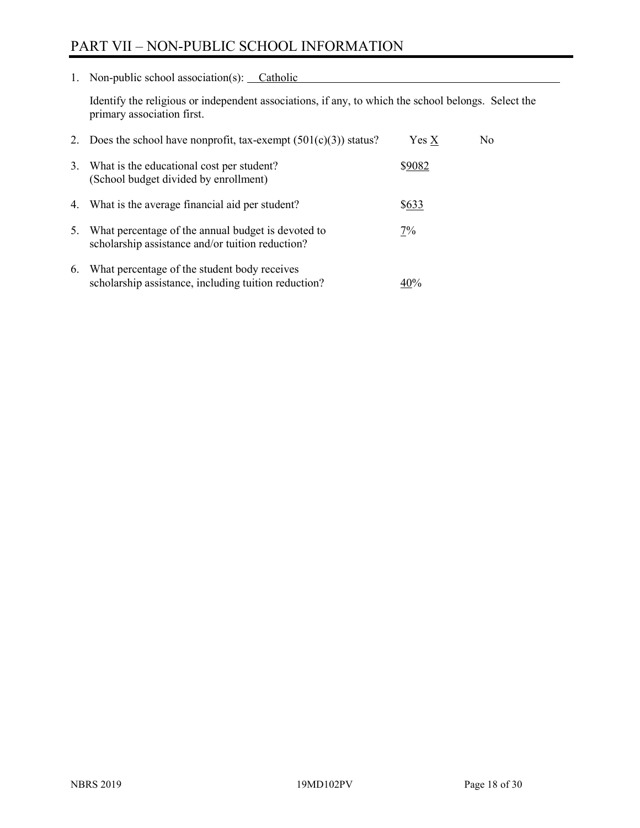# PART VII – NON-PUBLIC SCHOOL INFORMATION

1. Non-public school association(s): Catholic

Identify the religious or independent associations, if any, to which the school belongs. Select the primary association first.

| 2. | Does the school have nonprofit, tax-exempt $(501(c)(3))$ status?                                       | $Yes\ X$ | No. |
|----|--------------------------------------------------------------------------------------------------------|----------|-----|
| 3. | What is the educational cost per student?<br>(School budget divided by enrollment)                     | \$9082   |     |
|    | 4. What is the average financial aid per student?                                                      | \$633    |     |
| 5. | What percentage of the annual budget is devoted to<br>scholarship assistance and/or tuition reduction? | 7%       |     |
| 6. | What percentage of the student body receives<br>scholarship assistance, including tuition reduction?   | 40%      |     |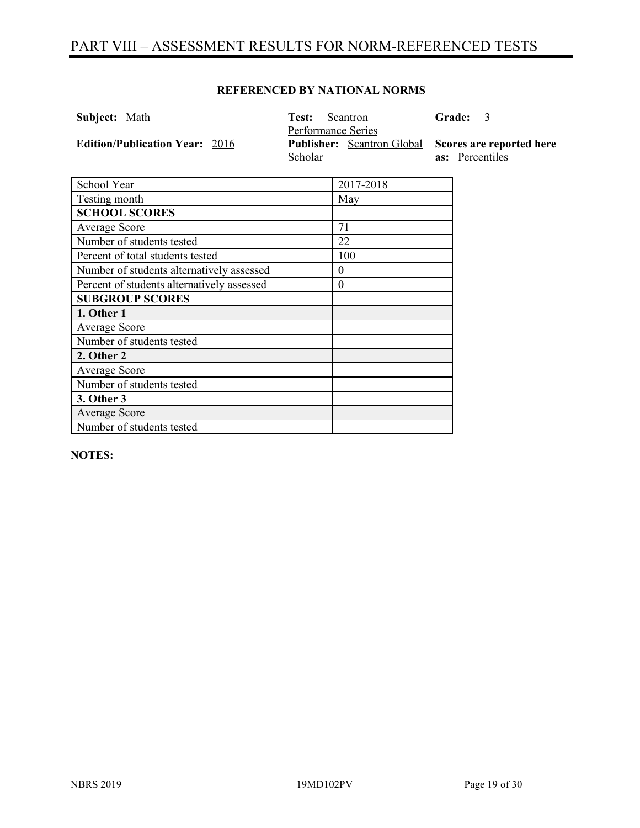# PART VIII – ASSESSMENT RESULTS FOR NORM-REFERENCED TESTS

#### **REFERENCED BY NATIONAL NORMS**

| <b>Subject:</b> Math                  | Test:<br>Scantron<br>Performance Series | <b>Grade:</b><br>- 3     |
|---------------------------------------|-----------------------------------------|--------------------------|
| <b>Edition/Publication Year: 2016</b> | <b>Publisher:</b> Scantron Global       | Scores are reported here |
|                                       | Scholar                                 | as: Percentiles          |
|                                       |                                         |                          |
| School Year                           | 2017-2018                               |                          |
| Testing month                         | May                                     |                          |
| <b>SCHOOL SCORES</b>                  |                                         |                          |
| Average Score                         |                                         |                          |

| Average Score                              | 71  |
|--------------------------------------------|-----|
| Number of students tested                  | 22  |
| Percent of total students tested           | 100 |
| Number of students alternatively assessed  | 0   |
| Percent of students alternatively assessed | 0   |
| <b>SUBGROUP SCORES</b>                     |     |
| 1. Other 1                                 |     |
| Average Score                              |     |
| Number of students tested                  |     |
| 2. Other 2                                 |     |
| Average Score                              |     |
| Number of students tested                  |     |
| 3. Other 3                                 |     |
| Average Score                              |     |
| Number of students tested                  |     |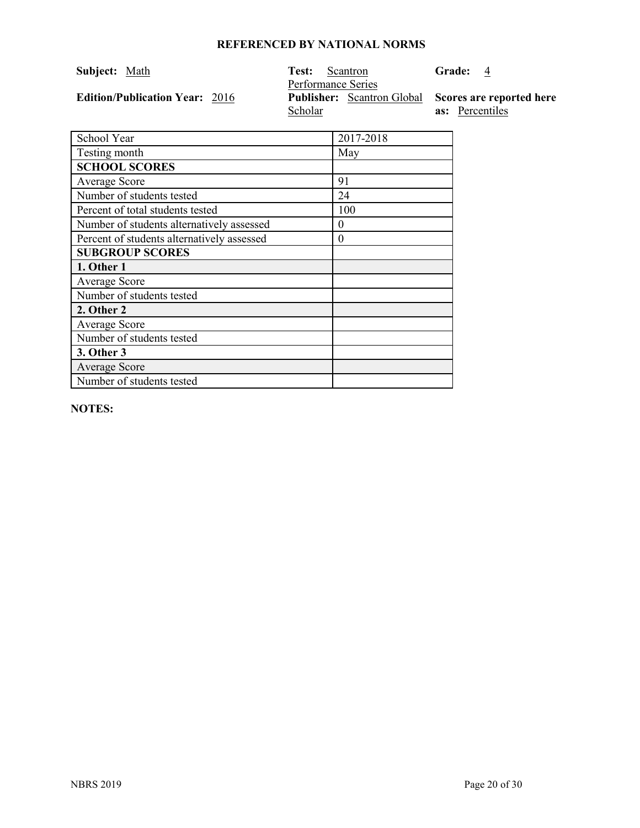| Subject: Math                         | Test:<br>Scantron<br>Performance Series                               | Grade: 4               |
|---------------------------------------|-----------------------------------------------------------------------|------------------------|
| <b>Edition/Publication Year: 2016</b> | <b>Publisher:</b> Scantron Global Scores are reported here<br>Scholar | <b>as:</b> Percentiles |

| School Year                                | 2017-2018 |
|--------------------------------------------|-----------|
| Testing month                              | May       |
| <b>SCHOOL SCORES</b>                       |           |
| <b>Average Score</b>                       | 91        |
| Number of students tested                  | 24        |
| Percent of total students tested           | 100       |
| Number of students alternatively assessed  | $\theta$  |
| Percent of students alternatively assessed | $\theta$  |
| <b>SUBGROUP SCORES</b>                     |           |
| 1. Other 1                                 |           |
| <b>Average Score</b>                       |           |
| Number of students tested                  |           |
| 2. Other 2                                 |           |
| <b>Average Score</b>                       |           |
| Number of students tested                  |           |
| 3. Other 3                                 |           |
| <b>Average Score</b>                       |           |
| Number of students tested                  |           |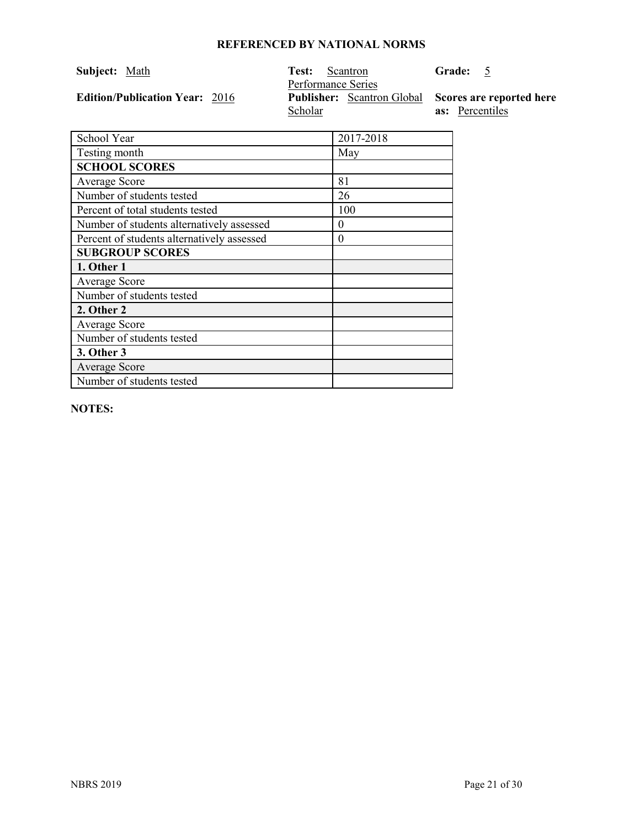| Subject: Math                         | Test:<br>Scantron<br>Performance Series                               | Grade: 5               |
|---------------------------------------|-----------------------------------------------------------------------|------------------------|
| <b>Edition/Publication Year: 2016</b> | <b>Publisher:</b> Scantron Global Scores are reported here<br>Scholar | <b>as:</b> Percentiles |

| School Year                                | 2017-2018 |
|--------------------------------------------|-----------|
| Testing month                              | May       |
| <b>SCHOOL SCORES</b>                       |           |
| Average Score                              | 81        |
| Number of students tested                  | 26        |
| Percent of total students tested           | 100       |
| Number of students alternatively assessed  | $\theta$  |
| Percent of students alternatively assessed | $\theta$  |
| <b>SUBGROUP SCORES</b>                     |           |
| 1. Other 1                                 |           |
| Average Score                              |           |
| Number of students tested                  |           |
| 2. Other 2                                 |           |
| <b>Average Score</b>                       |           |
| Number of students tested                  |           |
| 3. Other 3                                 |           |
| <b>Average Score</b>                       |           |
| Number of students tested                  |           |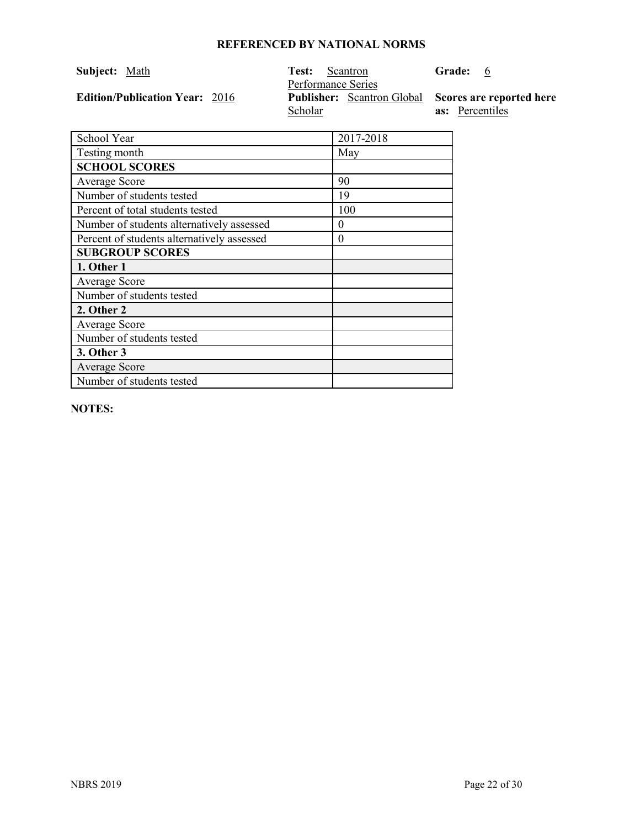| Subject: Math                         | Test:<br>Scantron<br>Performance Series                               | <b>Grade:</b><br>$6\phantom{0}6$ |
|---------------------------------------|-----------------------------------------------------------------------|----------------------------------|
| <b>Edition/Publication Year: 2016</b> | <b>Publisher:</b> Scantron Global Scores are reported here<br>Scholar | <b>as:</b> Percentiles           |

| School Year                                | 2017-2018 |
|--------------------------------------------|-----------|
| Testing month                              | May       |
| <b>SCHOOL SCORES</b>                       |           |
| Average Score                              | 90        |
| Number of students tested                  | 19        |
| Percent of total students tested           | 100       |
| Number of students alternatively assessed  | $\theta$  |
| Percent of students alternatively assessed | $\theta$  |
| <b>SUBGROUP SCORES</b>                     |           |
| 1. Other 1                                 |           |
| Average Score                              |           |
| Number of students tested                  |           |
| 2. Other 2                                 |           |
| Average Score                              |           |
| Number of students tested                  |           |
| 3. Other 3                                 |           |
| Average Score                              |           |
| Number of students tested                  |           |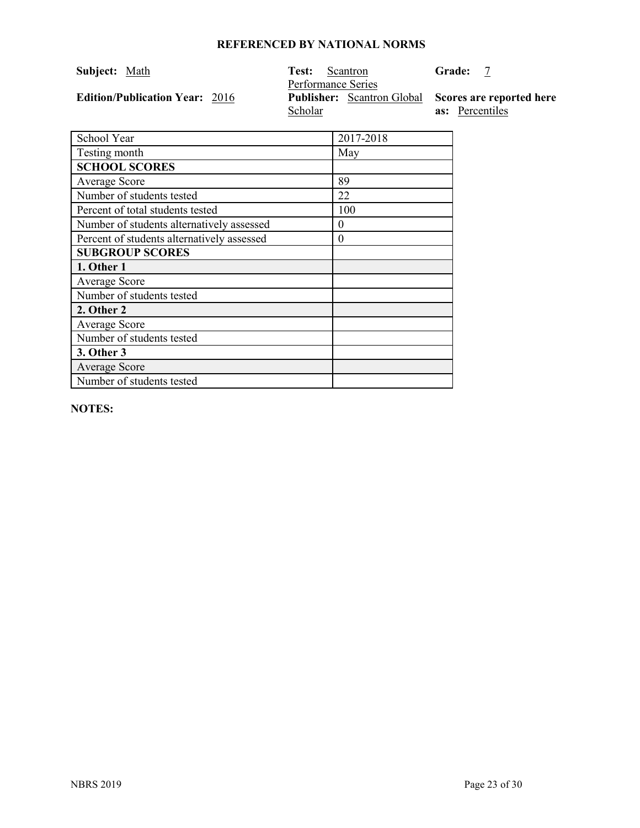| <b>Subject:</b> Math                  | Test:<br>Scantron<br>Performance Series                               | <b>Grade:</b>          |
|---------------------------------------|-----------------------------------------------------------------------|------------------------|
| <b>Edition/Publication Year: 2016</b> | <b>Publisher:</b> Scantron Global Scores are reported here<br>Scholar | <b>as:</b> Percentiles |

| School Year                                | 2017-2018 |
|--------------------------------------------|-----------|
| Testing month                              | May       |
| <b>SCHOOL SCORES</b>                       |           |
| Average Score                              | 89        |
| Number of students tested                  | 22        |
| Percent of total students tested           | 100       |
| Number of students alternatively assessed  | $\Omega$  |
| Percent of students alternatively assessed | $\theta$  |
| <b>SUBGROUP SCORES</b>                     |           |
| 1. Other 1                                 |           |
| <b>Average Score</b>                       |           |
| Number of students tested                  |           |
| 2. Other 2                                 |           |
| <b>Average Score</b>                       |           |
| Number of students tested                  |           |
| 3. Other 3                                 |           |
| Average Score                              |           |
| Number of students tested                  |           |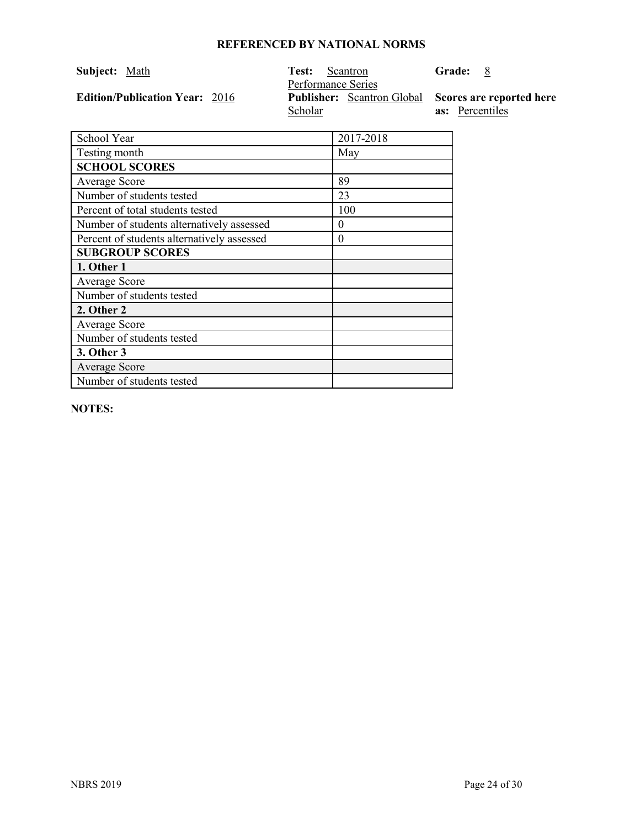| Subject: Math                         | Test:<br>Scantron<br>Performance Series                               | <b>Grade:</b><br>8     |
|---------------------------------------|-----------------------------------------------------------------------|------------------------|
| <b>Edition/Publication Year: 2016</b> | <b>Publisher:</b> Scantron Global Scores are reported here<br>Scholar | <b>as:</b> Percentiles |

| School Year                                | 2017-2018 |
|--------------------------------------------|-----------|
| Testing month                              | May       |
| <b>SCHOOL SCORES</b>                       |           |
| Average Score                              | 89        |
| Number of students tested                  | 23        |
| Percent of total students tested           | 100       |
| Number of students alternatively assessed  | $\theta$  |
| Percent of students alternatively assessed | $\theta$  |
| <b>SUBGROUP SCORES</b>                     |           |
| 1. Other 1                                 |           |
| Average Score                              |           |
| Number of students tested                  |           |
| 2. Other 2                                 |           |
| Average Score                              |           |
| Number of students tested                  |           |
| 3. Other 3                                 |           |
| <b>Average Score</b>                       |           |
| Number of students tested                  |           |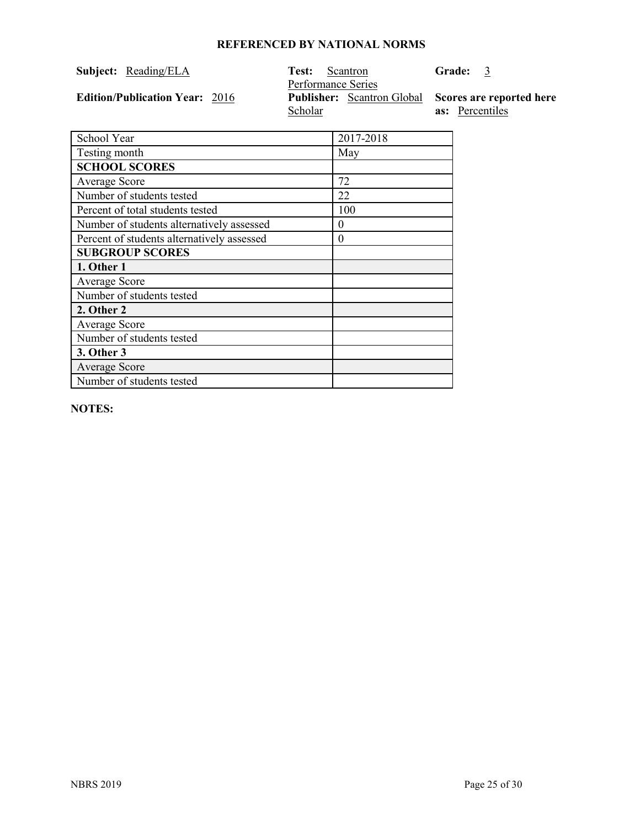| Subject: | Reading/ELA |
|----------|-------------|
|          |             |

**Edition/Publication Year: 2016** 

**Test:** Scantron Performance Series **Scholar** Publisher: Scantron Global Scores are reported here

**as:** Percentiles

**Grade:** 3

School Year 2017-2018 Testing month May **SCHOOL SCORES** Average Score 72 Number of students tested 22 Percent of total students tested 100 Number of students alternatively assessed 0 Percent of students alternatively assessed 0 **SUBGROUP SCORES 1. Other 1** Average Score Number of students tested **2. Other 2** Average Score Number of students tested **3. Other 3** Average Score Number of students tested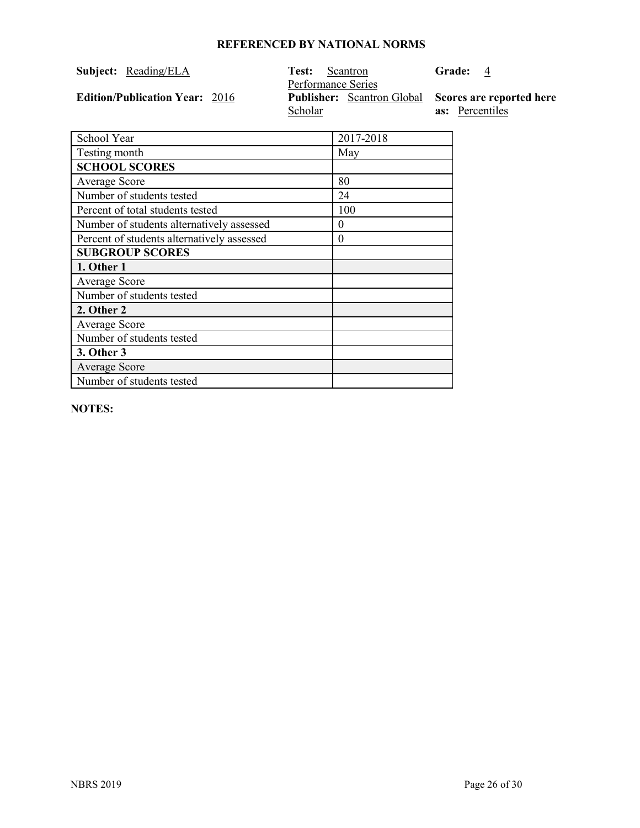|  | Subject: Reading/ELA |  | <b>Test:</b> Scantron |
|--|----------------------|--|-----------------------|
|--|----------------------|--|-----------------------|

**Edition/Publication Year: 2016** 

Performance Series Scholar **Fublisher:** Scantron Global Scores are reported here

**as:** Percentiles

**Grade:** 4

| School Year                                | 2017-2018 |
|--------------------------------------------|-----------|
| Testing month                              | May       |
| <b>SCHOOL SCORES</b>                       |           |
| Average Score                              | 80        |
| Number of students tested                  | 24        |
| Percent of total students tested           | 100       |
| Number of students alternatively assessed  | 0         |
| Percent of students alternatively assessed | 0         |
| <b>SUBGROUP SCORES</b>                     |           |
| 1. Other 1                                 |           |
| Average Score                              |           |
| Number of students tested                  |           |
| 2. Other 2                                 |           |
| Average Score                              |           |
| Number of students tested                  |           |
| 3. Other 3                                 |           |
| Average Score                              |           |
| Number of students tested                  |           |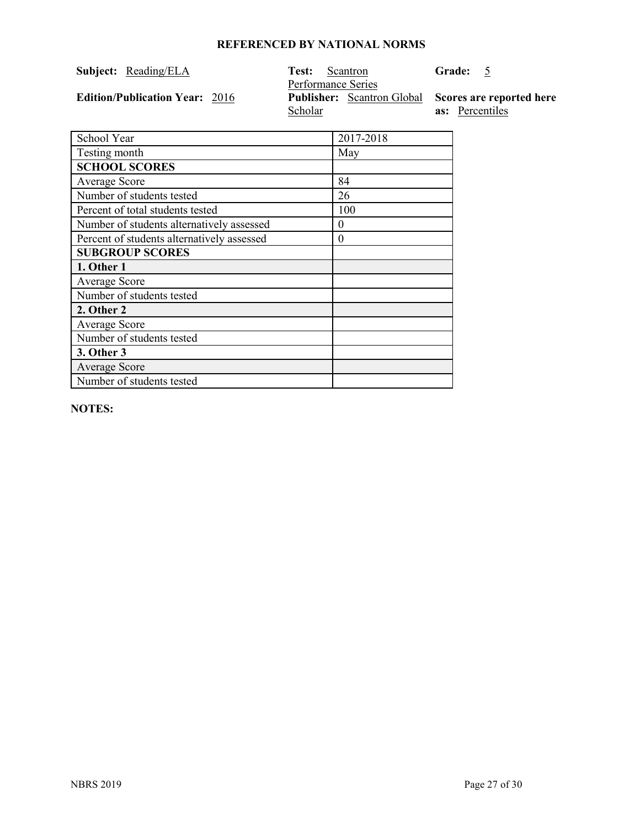|  | Subject: Reading/ELA |  | <b>Test:</b> Scantron |
|--|----------------------|--|-----------------------|
|--|----------------------|--|-----------------------|

**Edition/Publication Year: 2016** 

Performance Series Scholar **Fublisher:** Scantron Global Scores are reported here

**as:** Percentiles

Grade: 5

| School Year                                | 2017-2018 |
|--------------------------------------------|-----------|
| Testing month                              | May       |
| <b>SCHOOL SCORES</b>                       |           |
| <b>Average Score</b>                       | 84        |
| Number of students tested                  | 26        |
| Percent of total students tested           | 100       |
| Number of students alternatively assessed  | $\theta$  |
| Percent of students alternatively assessed | $\theta$  |
| <b>SUBGROUP SCORES</b>                     |           |
| 1. Other 1                                 |           |
| <b>Average Score</b>                       |           |
| Number of students tested                  |           |
| 2. Other 2                                 |           |
| Average Score                              |           |
| Number of students tested                  |           |
| 3. Other 3                                 |           |
| <b>Average Score</b>                       |           |
| Number of students tested                  |           |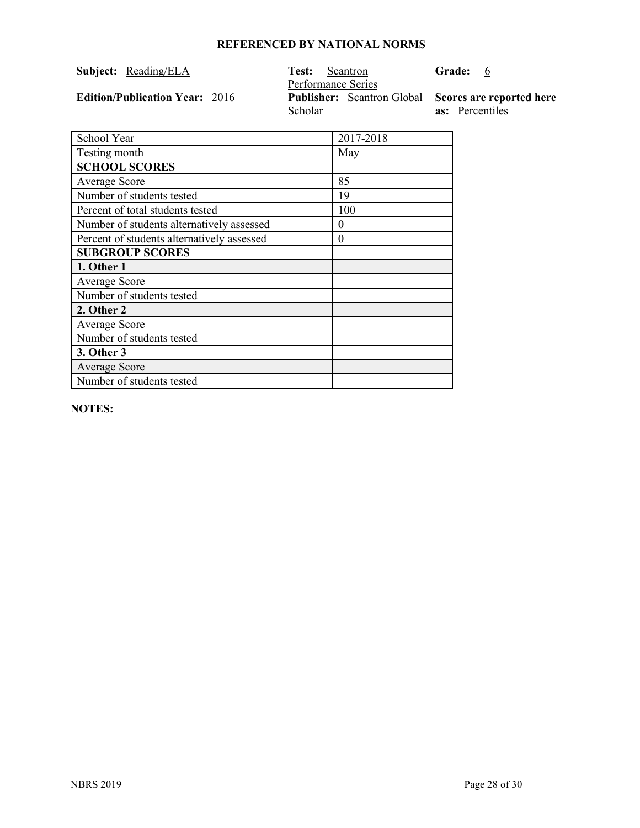|  | Subject: Reading/ELA |  | <b>Test:</b> Scantron |
|--|----------------------|--|-----------------------|
|--|----------------------|--|-----------------------|

**Edition/Publication Year: 2016** 

Performance Series Scholar **Fublisher:** Scantron Global Scores are reported here

**as:** Percentiles

**Grade:** 6

| School Year                                | 2017-2018 |
|--------------------------------------------|-----------|
| Testing month                              | May       |
| <b>SCHOOL SCORES</b>                       |           |
| Average Score                              | 85        |
| Number of students tested                  | 19        |
| Percent of total students tested           | 100       |
| Number of students alternatively assessed  | 0         |
| Percent of students alternatively assessed | 0         |
| <b>SUBGROUP SCORES</b>                     |           |
| 1. Other 1                                 |           |
| Average Score                              |           |
| Number of students tested                  |           |
| 2. Other 2                                 |           |
| Average Score                              |           |
| Number of students tested                  |           |
| 3. Other 3                                 |           |
| Average Score                              |           |
| Number of students tested                  |           |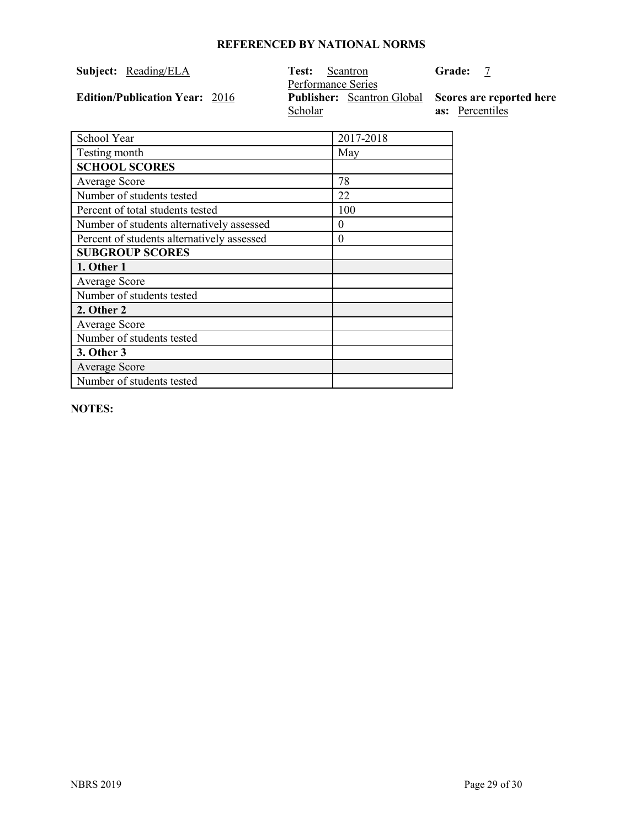### **Subject:** Reading/ELA

**Edition/Publication Year: 2016** 

Test: Scantron<br>Performance Series Scholar **Publisher:** Scantron Global Scores are reported here

**Grade:** 7

**as:** Percentiles

| School Year                                | 2017-2018 |
|--------------------------------------------|-----------|
| Testing month                              | May       |
| <b>SCHOOL SCORES</b>                       |           |
| Average Score                              | 78        |
| Number of students tested                  | 22        |
| Percent of total students tested           | 100       |
| Number of students alternatively assessed  | $\theta$  |
| Percent of students alternatively assessed | $\theta$  |
| <b>SUBGROUP SCORES</b>                     |           |
| 1. Other 1                                 |           |
| Average Score                              |           |
| Number of students tested                  |           |
| 2. Other 2                                 |           |
| Average Score                              |           |
| Number of students tested                  |           |
| 3. Other 3                                 |           |
| Average Score                              |           |
| Number of students tested                  |           |